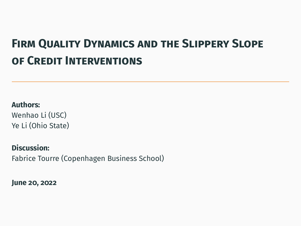# **Firm Quality Dynamics and the Slippery Slope of Credit Interventions**

**Authors:**

Wenhao Li (USC) Ye Li (Ohio State)

**Discussion:** Fabrice Tourre (Copenhagen Business School)

**June 20, 2022**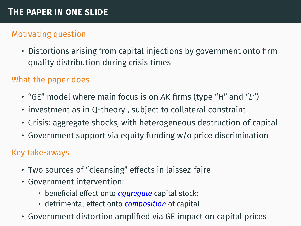## Motivating question

• Distortions arising from capital injections by government onto firm quality distribution during crisis times

## What the paper does

- "GE" model where main focus is on *AK* firms (type "*H*" and "*L*")
- investment as in Q-theory , subject to collateral constraint
- Crisis: aggregate shocks, with heterogeneous destruction of capital
- Government support via equity funding w/o price discrimination

#### Key take-aways

- Two sources of "cleansing" effects in laissez-faire
- Government intervention:
	- beneficial effect onto *aggregate* capital stock;
	- detrimental effect onto *composition* of capital
- Government distortion amplified via GE impact on capital prices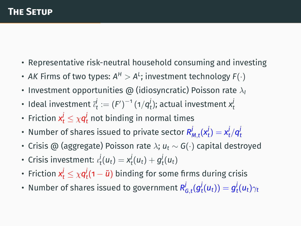- Representative risk-neutral household consuming and investing
- $\bullet$  *AK* Firms of two types: A $^{\mathsf{H}}>$  A<sup>L</sup>; investment technology F $(\cdot)$
- Investment opportunities  $\omega$  (idiosyncratic) Poisson rate  $\lambda_I$
- $\bm{v}$  Ideal investment  $\vec{v}_t^j := \left( F' \right)^{-1} (1/q_t^j);$  actual investment  $x_t^j$
- Friction  $x_t^j \leq \chi q_t^j$  not binding in normal times
- Number of shares issued to private sector  $R^j_{M,t}(x^j_t) = x^j_t/q^j_t$
- Crisis @ (aggregate) Poisson rate λ; *u<sup>t</sup>* ∼ *G*(·) capital destroyed
- Crisis investment:  $\iota_t^j(u_t) = x_t^j(u_t) + g_t^j(u_t)$
- Friction  $x_t^j \leq \chi q_t^j$ (1  $\tilde{u}$ ) binding for some firms during crisis
- $\bullet$  Number of shares issued to government  $R_{G,t}^{j}(g_{t}^{j}(u_{t}))=g_{t}^{j}(u_{t})\gamma_{t}$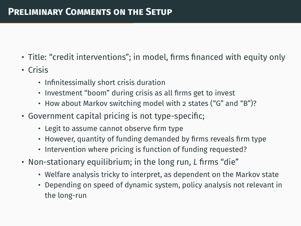## **Preliminary Comments on the Setup**

- Title: "credit interventions"; in model, firms financed with equity only
- Crisis
	- Infinitessimally short crisis duration
	- Investment "boom" during crisis as all firms get to invest
	- How about Markov switching model with 2 states ("G" and "B")?
- Government capital pricing is not type-specific;
	- Legit to assume cannot observe firm type
	- However, quantity of funding demanded by firms reveals firm type
	- Intervention where pricing is function of funding requested?
- Non-stationary equilibrium; in the long run, *L* firms "die"
	- Welfare analysis tricky to interpret, as dependent on the Markov state
	- Depending on speed of dynamic system, policy analysis not relevant in the long-run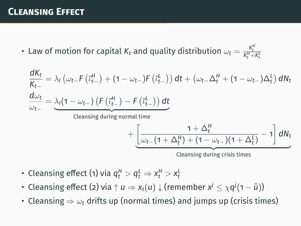## **Cleansing Effect**

• Law of motion for capital  $K_t$  and quality distribution  $\omega_t = \frac{K_t^H}{K_t^H + K_t^L}$ *t*

$$
\frac{dK_t}{K_{t-}} = \lambda_l \left( \omega_{t-} F \left( \overline{\iota}_{t-}^H \right) + (1 - \omega_{t-}) F \left( \overline{\iota}_{t-}^L \right) \right) dt + \left( \omega_{t-} \Delta_t^H + (1 - \omega_{t-}) \Delta_t^L \right) dN_t
$$
\n
$$
\frac{d\omega_t}{\omega_{t-}} = \underbrace{\lambda_l (1 - \omega_{t-}) \left( F \left( \overline{\iota}_{t-}^H \right) - F \left( \overline{\iota}_{t-}^L \right) \right) dt}_{\text{cleansing during normal time}} + \underbrace{\left[ \frac{1 + \Delta_t^H}{\omega_{t-} (1 + \Delta_t^H) + (1 - \omega_{t-}) (1 + \Delta_t^L)} - 1 \right] dN_t}_{\text{cleaning during crisis times}}
$$

**COLLING** CLIPS CHILES

- Cleansing effect (1) via  $q_t^H > q_t^L \Rightarrow x_t^H > x_t^L$
- $\bullet$  Cleansing effect (2) via  $\uparrow u \Rightarrow$   $x_t(u)\downarrow$  (remember  $x^j\leq \chi q^j$ (1  $\widetilde{u}$ ))
- Cleansing  $\Rightarrow \omega_t$  drifts up (normal times) and jumps up (crisis times)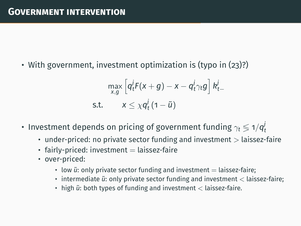• With government, investment optimization is (typo in (23)?)

$$
\max_{x,g} \left[ q_t^j F(x+g) - x - q_t^j \gamma_t g \right] k_t^j
$$
  
s.t. 
$$
x \leq \chi q_t^j (1 - \tilde{u})
$$

- Investment depends on pricing of government funding  $\gamma_t \lessgtr 1/q_t^j$ 
	- under-priced: no private sector funding and investment  $>$  laissez-faire
	- $\cdot$  fairly-priced: investment  $=$  laissez-faire
	- over-priced:
		- $\cdot$  low  $\tilde{u}$ : only private sector funding and investment  $=$  laissez-faire;
		- intermediate  $\ddot{u}$ : only private sector funding and investment < laissez-faire;
		- high  $\tilde{u}$ : both types of funding and investment < laissez-faire.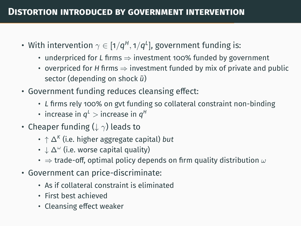- $\bm{\cdot}$  With intervention  $\gamma \in [1/q^{\mathsf{H}},1/q^{\mathsf{L}}],$  government funding is:
	- underpriced for *L* firms ⇒ investment 100% funded by government
	- overpriced for *H* firms ⇒ investment funded by mix of private and public sector (depending on shock  $\tilde{u}$ )
- Government funding reduces cleansing effect:
	- *L* firms rely 100% on gvt funding so collateral constraint non-binding
	- $\cdot$  increase in  $q^{\scriptscriptstyle L}$   $>$  increase in  $q^{\scriptscriptstyle H}$
- Cheaper funding ( $\downarrow \gamma$ ) leads to
	- ↑ ∆*<sup>K</sup>* (i.e. higher aggregate capital) *but*
	- $\boldsymbol{\cdot}\downarrow\Delta^{\omega}$  (i.e. worse capital quality)
	- $\Rightarrow$  trade-off, optimal policy depends on firm quality distribution  $\omega$
- Government can price-discriminate:
	- As if collateral constraint is eliminated
	- First best achieved
	- Cleansing effect weaker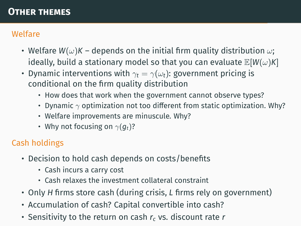## **Other themes**

## Welfare

- Welfare  $W(\omega)K$  depends on the initial firm quality distribution  $\omega$ ; ideally, build a stationary model so that you can evaluate  $\mathbb{E}[W(\omega)K]$
- Dynamic interventions with  $\gamma_t = \gamma(\omega_t)$ : government pricing is conditional on the firm quality distribution
	- How does that work when the government cannot observe types?
	- Dynamic  $\gamma$  optimization not too different from static optimization. Why?
	- Welfare improvements are minuscule. Why?
	- Why not focusing on  $\gamma(q_t)$ ?

## Cash holdings

- Decision to hold cash depends on costs/benefits
	- Cash incurs a carry cost
	- Cash relaxes the investment collateral constraint
- Only *H* firms store cash (during crisis, *L* firms rely on government)
- Accumulation of cash? Capital convertible into cash?
- Sensitivity to the return on cash *r<sup>c</sup>* vs. discount rate *r*